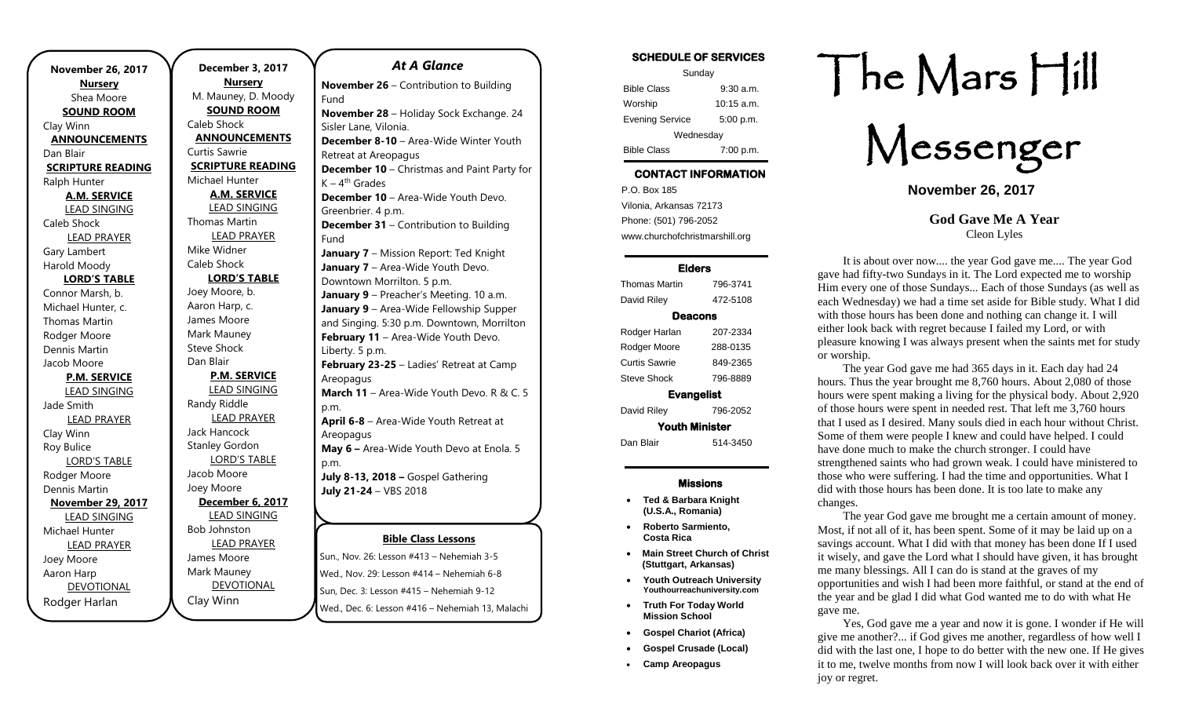| <b>November 26, 2017</b>        |  |
|---------------------------------|--|
| <b>Nursery</b>                  |  |
| Shea Moore                      |  |
| <b>SOUND ROOM</b>               |  |
| Clay Winn                       |  |
| <b>ANNOUNCEMENTS</b>            |  |
| Dan Blair                       |  |
| <b>SCRIPTURE READING</b>        |  |
| Ralph Hunter                    |  |
| <b>A.M. SERVICE</b>             |  |
| <b>LEAD SINGING</b>             |  |
| Caleb Shock                     |  |
| <b>LEAD PRAYER</b>              |  |
| Gary Lambert                    |  |
| Harold Moody                    |  |
| <b>LORD'S TABLE</b>             |  |
| Connor Marsh, b.                |  |
| Michael Hunter, c.              |  |
| Thomas Martin                   |  |
| Rodger Moore                    |  |
| Dennis Martin                   |  |
| Jacob Moore                     |  |
| <b>P.M. SERVICE</b>             |  |
| <b>LEAD SINGING</b>             |  |
| Jade Smith                      |  |
| <b>LEAD PRAYER</b>              |  |
| Clay Winn                       |  |
| Roy Bulice                      |  |
| <b>LORD'S TABLE</b>             |  |
| Rodger Moore                    |  |
| Dennis Martin                   |  |
| <b>November 29, 2017</b>        |  |
| <b>LEAD SINGING</b>             |  |
| Michael Hunter                  |  |
| <b>LEAD PRAYER</b>              |  |
| Joey Moore                      |  |
| Aaron Harp<br><b>DEVOTIONAL</b> |  |
|                                 |  |
| Rodger Harlan                   |  |

.

**December 3, 2017 Nursery** M. Mauney, D. Moody **SOUND ROOM** Caleb Shock **ANNOUNCEMENTS** Curtis Sawrie **SCRIPTURE READING** Michael Hunter **A.M. SERVICE** LEAD SINGING Thomas Martin LEAD PRAYER Mike Widner Caleb Shock **LORD'S TABLE** Joey Moore, b. Aaron Harp, c. James Moore Mark Mauney Steve Shock Dan Blair **P.M. SERVICE** LEAD SINGING Randy Riddle LEAD PRAYER Jack Hancock Stanley Gordon LORD'S TABLE Jacob Moore Joey Moore **December 6, 2017** LEAD SINGING Bob Johnston LEAD PRAYER James Moore Mark Mauney DEVOTIONAL Clay Winn Sun, Dec. 3: Lesson #415 – Nehemiah 9-12 p.m. p.m.

### **Bible Class Lessons** Sun., Nov. 26: Lesson #413 – Nehemiah 3-5 Wed., Nov. 29: Lesson #414 – Nehemiah 6-8 *At A Glance*  **November 26** – Contribution to Building Fund **November 28** – Holiday Sock Exchange. 24 Sisler Lane, Vilonia. **December 8-10** – Area-Wide Winter Youth Retreat at Areopagus **December 10** – Christmas and Paint Party for K – 4<sup>th</sup> Grades **December 10** – Area-Wide Youth Devo. Greenbrier. 4 p.m. **December 31** – Contribution to Building Fund **January 7** – Mission Report: Ted Knight **January 7** – Area-Wide Youth Devo. Downtown Morrilton. 5 p.m. **January 9** – Preacher's Meeting. 10 a.m. **January 9** – Area-Wide Fellowship Supper and Singing. 5:30 p.m. Downtown, Morrilton **February 11** – Area-Wide Youth Devo. Liberty. 5 p.m. **February 23-25** – Ladies' Retreat at Camp Areopagus **March 11** – Area-Wide Youth Devo. R & C. 5 **April 6-8** – Area-Wide Youth Retreat at Areopagus **May 6 –** Area-Wide Youth Devo at Enola. 5 **July 8-13, 2018 –** Gospel Gathering **July 21-24** – VBS 2018

Wed., Dec. 6: Lesson #416 – Nehemiah 13, Malachi

SCHEDULE OF SERVICES

| Sunday                 |              |  |
|------------------------|--------------|--|
| <b>Bible Class</b>     | $9:30$ a.m.  |  |
| Worship                | $10:15$ a.m. |  |
| <b>Evening Service</b> | 5:00 p.m.    |  |
| Wednesday              |              |  |
| <b>Bible Class</b>     | 7:00 p.m.    |  |

## CONTACT INFORMATION

. .o. Box 166<br>Vilonia, Arkansas 72173 P.O. Box 185 Phone: (501) 796-2052 www.churchofchristmarshill.org

### Elders

| <b>Thomas Martin</b>  | 796-3741 |  |
|-----------------------|----------|--|
| David Riley           | 472-5108 |  |
| Deacons               |          |  |
| Rodger Harlan         | 207-2334 |  |
| Rodger Moore          | 288-0135 |  |
| Curtis Sawrie         | 849-2365 |  |
| <b>Steve Shock</b>    | 796-8889 |  |
| <b>Evangelist</b>     |          |  |
| David Riley           | 796-2052 |  |
| <b>Youth Minister</b> |          |  |
| Dan Blair             | 514-3450 |  |

#### Missions

- **Ted & Barbara Knight (U.S.A., Romania)**
- **Roberto Sarmiento, Costa Rica**
- **Main Street Church of Christ (Stuttgart, Arkansas)**
- **Youth Outreach University Youthourreachuniversity.com**
- **Truth For Today World Mission School**
- **Gospel Chariot (Africa)**
- **Gospel Crusade (Local)**
- **Camp Areopagus**

# The Mars Hill

Messenger

**November 26, 2017**

**God Gave Me A Year** Cleon Lyles

It is about over now.... the year God gave me.... The year God gave had fifty-two Sundays in it. The Lord expected me to worship Him every one of those Sundays... Each of those Sundays (as well as each Wednesday) we had a time set aside for Bible study. What I did with those hours has been done and nothing can change it. I will either look back with regret because I failed my Lord, or with pleasure knowing I was always present when the saints met for study or worship.

The year God gave me had 365 days in it. Each day had 24 hours. Thus the year brought me 8,760 hours. About 2,080 of those hours were spent making a living for the physical body. About 2,920 of those hours were spent in needed rest. That left me 3,760 hours that I used as I desired. Many souls died in each hour without Christ. Some of them were people I knew and could have helped. I could have done much to make the church stronger. I could have strengthened saints who had grown weak. I could have ministered to those who were suffering. I had the time and opportunities. What I did with those hours has been done. It is too late to make any changes.

The year God gave me brought me a certain amount of money. Most, if not all of it, has been spent. Some of it may be laid up on a savings account. What I did with that money has been done If I used it wisely, and gave the Lord what I should have given, it has brought me many blessings. All I can do is stand at the graves of my opportunities and wish I had been more faithful, or stand at the end of the year and be glad I did what God wanted me to do with what He gave me.

Yes, God gave me a year and now it is gone. I wonder if He will give me another?... if God gives me another, regardless of how well I did with the last one, I hope to do better with the new one. If He gives it to me, twelve months from now I will look back over it with either joy or regret.